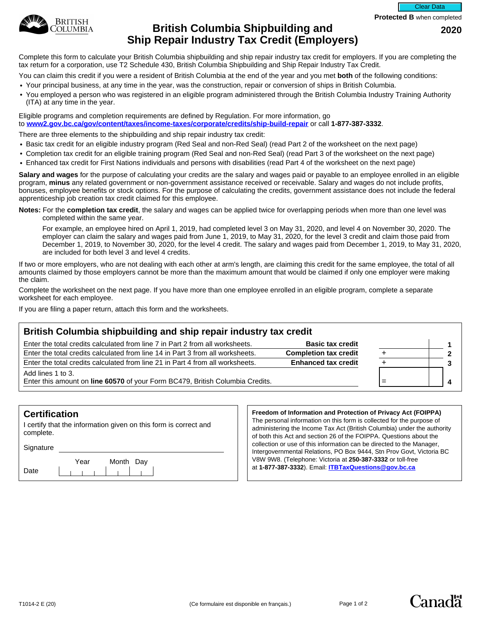

## **British Columbia Shipbuilding and 2020 Ship Repair Industry Tax Credit (Employers)**

Complete this form to calculate your British Columbia shipbuilding and ship repair industry tax credit for employers. If you are completing the tax return for a corporation, use T2 Schedule 430, British Columbia Shipbuilding and Ship Repair Industry Tax Credit.

You can claim this credit if you were a resident of British Columbia at the end of the year and you met **both** of the following conditions:

- Your principal business, at any time in the year, was the construction, repair or conversion of ships in British Columbia.
- You employed a person who was registered in an eligible program administered through the British Columbia Industry Training Authority (ITA) at any time in the year.

Eligible programs and completion requirements are defined by Regulation. For more information, go to **[www2.gov.bc.ca/gov/content/taxes/income-taxes/corporate/credits/ship-build-repair](https://www2.gov.bc.ca/gov/content/taxes/income-taxes/corporate/credits/ship-build-repair)** or call **1-877-387-3332**.

There are three elements to the shipbuilding and ship repair industry tax credit:

- Basic tax credit for an eligible industry program (Red Seal and non-Red Seal) (read Part 2 of the worksheet on the next page)
- Completion tax credit for an eligible training program (Red Seal and non-Red Seal) (read Part 3 of the worksheet on the next page)
- Enhanced tax credit for First Nations individuals and persons with disabilities (read Part 4 of the worksheet on the next page)

**Salary and wages** for the purpose of calculating your credits are the salary and wages paid or payable to an employee enrolled in an eligible program, **minus** any related government or non-government assistance received or receivable. Salary and wages do not include profits, bonuses, employee benefits or stock options. For the purpose of calculating the credits, government assistance does not include the federal apprenticeship job creation tax credit claimed for this employee.

**Notes:** For the **completion tax credit**, the salary and wages can be applied twice for overlapping periods when more than one level was completed within the same year.

For example, an employee hired on April 1, 2019, had completed level 3 on May 31, 2020, and level 4 on November 30, 2020. The employer can claim the salary and wages paid from June 1, 2019, to May 31, 2020, for the level 3 credit and claim those paid from December 1, 2019, to November 30, 2020, for the level 4 credit. The salary and wages paid from December 1, 2019, to May 31, 2020, are included for both level 3 and level 4 credits.

If two or more employers, who are not dealing with each other at arm's length, are claiming this credit for the same employee, the total of all amounts claimed by those employers cannot be more than the maximum amount that would be claimed if only one employer were making the claim.

Complete the worksheet on the next page. If you have more than one employee enrolled in an eligible program, complete a separate worksheet for each employee.

If you are filing a paper return, attach this form and the worksheets.

#### **British Columbia shipbuilding and ship repair industry tax credit**

| Enter the total credits calculated from line 7 in Part 2 from all worksheets.                                | <b>Basic tax credit</b>      |  |
|--------------------------------------------------------------------------------------------------------------|------------------------------|--|
| Enter the total credits calculated from line 14 in Part 3 from all worksheets.                               | <b>Completion tax credit</b> |  |
| Enter the total credits calculated from line 21 in Part 4 from all worksheets.<br><b>Enhanced tax credit</b> |                              |  |
| Add lines 1 to 3.                                                                                            |                              |  |
| Enter this amount on line 60570 of your Form BC479, British Columbia Credits.                                |                              |  |

|           | 1                       |
|-----------|-------------------------|
| $\ddot{}$ | $\frac{2}{3}$           |
| $\ddot{}$ |                         |
| =         | $\overline{\mathbf{4}}$ |
|           |                         |

**Canada** 

#### **Certification**

I certify that the information given on this form is correct and complete.

Signature

Date Year Month Day

#### **Freedom of Information and Protection of Privacy Act (FOIPPA)**

The personal information on this form is collected for the purpose of administering the Income Tax Act (British Columbia) under the authority of both this Act and section 26 of the FOIPPA. Questions about the collection or use of this information can be directed to the Manager, Intergovernmental Relations, PO Box 9444, Stn Prov Govt, Victoria BC V8W 9W8. (Telephone: Victoria at **250-387-3332** or toll-free at **1-877-387-3332**). Email: **[ITBTaxQuestions@gov.bc.ca](mailto:ITBTaxQuestions@gov.bc.ca)**